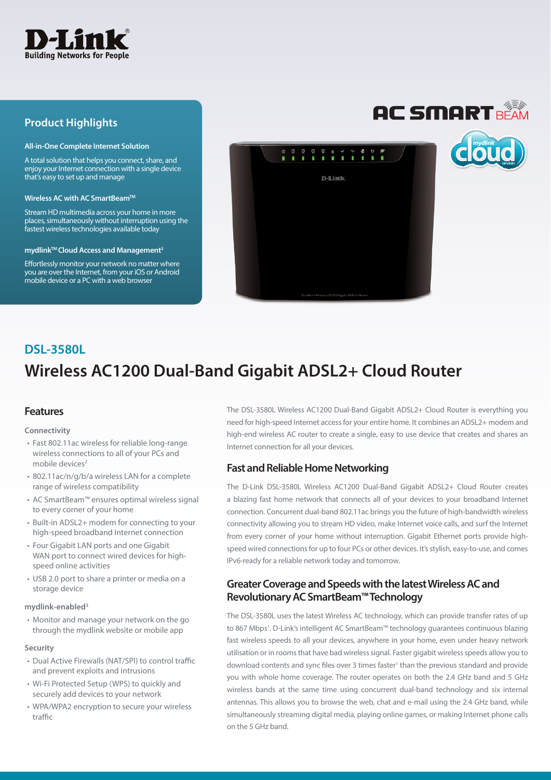

# **Product Highlights**

#### **All-in-One Complete Internet Solution**

A total solution that helps you connect, share, and enjoy your Internet connection with a single device that's easy to set up and manage

#### **Wireless AC with AC SmartBeamTM**

Stream HD multimedia across your home in more places, simultaneously without interruption using the fastest wireless technologies available today

#### **mydlinkTM Cloud Access and Management3**

Effortlessly monitor your network no matter where you are over the Internet, from your iOS or Android mobile device or a PC with a web browser



# **Wireless AC1200 Dual-Band Gigabit ADSL2+ Cloud Router DSL-3580L**

# **Features**

#### **Connectivity**

- Fast 802.11ac wireless for reliable long-range wireless connections to all of your PCs and mobile devices<sup>2</sup>
- 802.11ac/n/g/b/a wireless LAN for a complete range of wireless compatibility
- AC SmartBeam™ ensures optimal wireless signal to every corner of your home
- Built-in ADSL2+ modem for connecting to your high-speed broadband Internet connection
- Four Gigabit LAN ports and one Gigabit WAN port to connect wired devices for highspeed online activities
- USB 2.0 port to share a printer or media on a storage device

#### **mydlink-enabled3**

• Monitor and manage your network on the go through the mydlink website or mobile app

#### **Security**

- Dual Active Firewalls (NAT/SPI) to control traffic and prevent exploits and intrusions
- Wi-Fi Protected Setup (WPS) to quickly and securely add devices to your network
- WPA/WPA2 encryption to secure your wireless traffic

The DSL-3580L Wireless AC1200 Dual-Band Gigabit ADSL2+ Cloud Router is everything you need for high-speed Internet access for your entire home. It combines an ADSL2+ modem and high-end wireless AC router to create a single, easy to use device that creates and shares an Internet connection for all your devices.

# **Fast and Reliable Home Networking**

The D-Link DSL-3580L Wireless AC1200 Dual-Band Gigabit ADSL2+ Cloud Router creates a blazing fast home network that connects all of your devices to your broadband Internet connection. Concurrent dual-band 802.11ac brings you the future of high-bandwidth wireless connectivity allowing you to stream HD video, make Internet voice calls, and surf the Internet from every corner of your home without interruption. Gigabit Ethernet ports provide highspeed wired connections for up to four PCs or other devices. It's stylish, easy-to-use, and comes IPv6-ready for a reliable network today and tomorrow.

# **Greater Coverage and Speeds with the latest Wireless AC and Revolutionary AC SmartBeam™ Technology**

The DSL-3580L uses the latest Wireless AC technology, which can provide transfer rates of up to 867 Mbps1 . D-Link's intelligent AC SmartBeam™ technology guarantees continuous blazing fast wireless speeds to all your devices, anywhere in your home, even under heavy network utilisation or in rooms that have bad wireless signal. Faster gigabit wireless speeds allow you to download contents and sync files over 3 times faster<sup>1</sup> than the previous standard and provide you with whole home coverage. The router operates on both the 2.4 GHz band and 5 GHz wireless bands at the same time using concurrent dual-band technology and six internal antennas. This allows you to browse the web, chat and e-mail using the 2.4 GHz band, while simultaneously streaming digital media, playing online games, or making Internet phone calls on the 5 GHz band.

# **AC SMART BEAM**

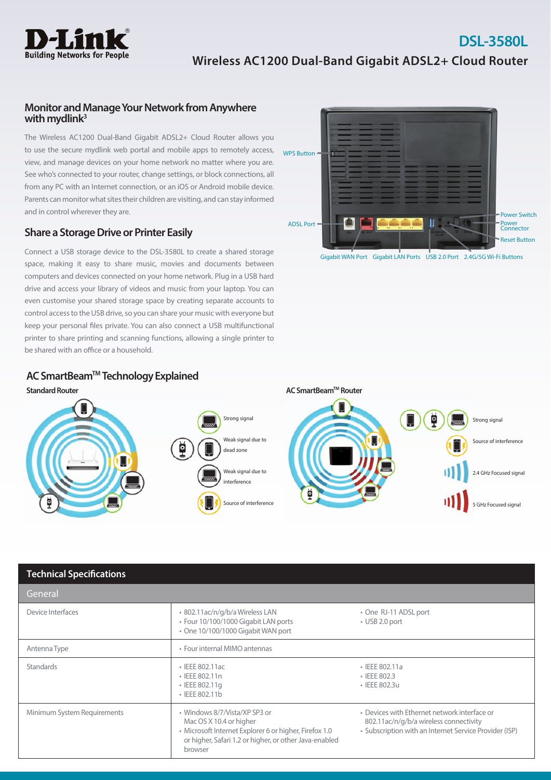

## **Monitor and Manage Your Network from Anywhere with mydlink3**

The Wireless AC1200 Dual-Band Gigabit ADSL2+ Cloud Router allows you to use the secure mydlink web portal and mobile apps to remotely access, view, and manage devices on your home network no matter where you are. See who's connected to your router, change settings, or block connections, all from any PC with an Internet connection, or an iOS or Android mobile device. Parents can monitor what sites their children are visiting, and can stay informed and in control wherever they are.

# **Share a Storage Drive or Printer Easily**

Connect a USB storage device to the DSL-3580L to create a shared storage space, making it easy to share music, movies and documents between computers and devices connected on your home network. Plug in a USB hard drive and access your library of videos and music from your laptop. You can even customise your shared storage space by creating separate accounts to control access to the USB drive, so you can share your music with everyone but keep your personal files private. You can also connect a USB multifunctional printer to share printing and scanning functions, allowing a single printer to be shared with an office or a household.



Gigabit WAN Port Gigabit LAN Ports USB 2.0 Port 2.4G/5G Wi-Fi Buttons

# **AC SmartBeamTM Technology Explained**



| <b>Technical Specifications</b> |                                                                                                                                                                                         |                                                                                                                                                  |
|---------------------------------|-----------------------------------------------------------------------------------------------------------------------------------------------------------------------------------------|--------------------------------------------------------------------------------------------------------------------------------------------------|
| General                         |                                                                                                                                                                                         |                                                                                                                                                  |
| Device Interfaces               | • 802.11ac/n/g/b/a Wireless LAN<br>• Four 10/100/1000 Gigabit LAN ports<br>• One 10/100/1000 Gigabit WAN port                                                                           | • One RJ-11 ADSL port<br>$\cdot$ USB 2.0 port                                                                                                    |
| Antenna Type                    | • Four internal MIMO antennas                                                                                                                                                           |                                                                                                                                                  |
| Standards                       | • IEEE 802.11ac<br>• IEEE 802.11n<br>• IEEE 802.11q<br>• IEEE 802.11b                                                                                                                   | $\cdot$ IEEE 802.11a<br>• IEEE 802.3<br>• IEEE 802.3u                                                                                            |
| Minimum System Requirements     | • Windows 8/7/Vista/XP SP3 or<br>Mac OS X 10.4 or higher<br>· Microsoft Internet Explorer 6 or higher, Firefox 1.0<br>or higher, Safari 1.2 or higher, or other Java-enabled<br>browser | • Devices with Ethernet network interface or<br>802.11ac/n/g/b/a wireless connectivity<br>• Subscription with an Internet Service Provider (ISP) |